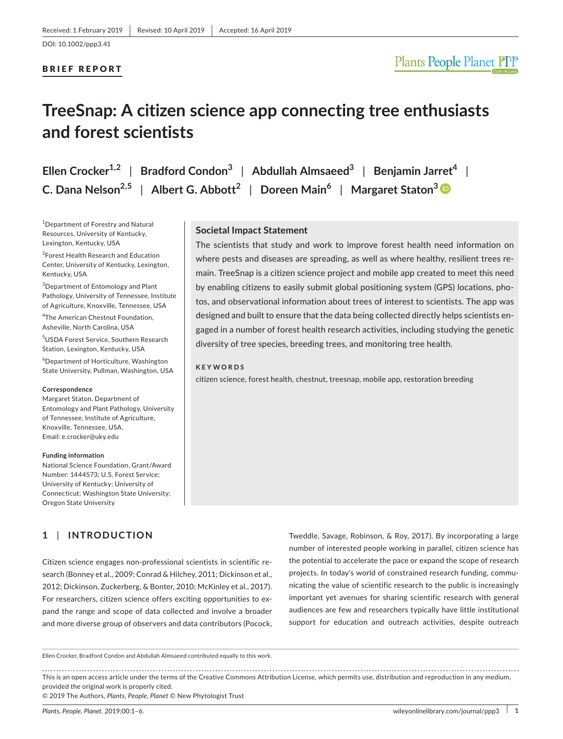### BRIEF REPORT

# **TreeSnap: A citizen science app connecting tree enthusiasts and forest scientists**

**Ellen Crocker1,2** | **Bradford Condon<sup>3</sup>** | **Abdullah Almsaeed<sup>3</sup>** | **Benjamin Jarret<sup>4</sup>** | **C. Dana Nelson2,5** | **Albert G. Abbott<sup>2</sup>** | **Doreen Main<sup>6</sup>** | **Margaret Staton[3](https://orcid.org/0000-0003-2971-9353)**

1 Department of Forestry and Natural Resources, University of Kentucky, Lexington, Kentucky, USA

2 Forest Health Research and Education Center, University of Kentucky, Lexington, Kentucky, USA

<sup>3</sup>Department of Entomology and Plant Pathology, University of Tennessee, Institute of Agriculture, Knoxville, Tennessee, USA

4 The American Chestnut Foundation,

Asheville, North Carolina, USA 5 USDA Forest Service, Southern Research

Station, Lexington, Kentucky, USA

6 Department of Horticulture, Washington State University, Pullman, Washington, USA

#### **Correspondence**

Margaret Staton, Department of Entomology and Plant Pathology, University of Tennessee, Institute of Agriculture, Knoxville, Tennessee, USA. Email: [e.crocker@uky.edu](mailto:e.crocker@uky.edu)

#### **Funding information**

National Science Foundation, Grant/Award Number: 1444573; U.S. Forest Service; University of Kentucky; University of Connecticut; Washington State University; Oregon State University

## **1** | **INTRODUCTION**

Citizen science engages non‐professional scientists in scientific re‐ search (Bonney et al., 2009; Conrad & Hilchey, 2011; Dickinson et al., 2012; Dickinson, Zuckerberg, & Bonter, 2010; McKinley et al., 2017). For researchers, citizen science offers exciting opportunities to ex‐ pand the range and scope of data collected and involve a broader and more diverse group of observers and data contributors (Pocock, Tweddle, Savage, Robinson, & Roy, 2017). By incorporating a large number of interested people working in parallel, citizen science has the potential to accelerate the pace or expand the scope of research projects. In today's world of constrained research funding, communicating the value of scientific research to the public is increasingly important yet avenues for sharing scientific research with general audiences are few and researchers typically have little institutional support for education and outreach activities, despite outreach

Ellen Crocker, Bradford Condon and Abdullah Almsaeed contributed equally to this work.

This is an open access article under the terms of the Creative Commons [Attribution](http://creativecommons.org/licenses/by/4.0/) License, which permits use, distribution and reproduction in any medium, provided the original work is properly cited.

© 2019 The Authors, *Plants, People, Planet* © New Phytologist Trust

# **Societal Impact Statement**

The scientists that study and work to improve forest health need information on where pests and diseases are spreading, as well as where healthy, resilient trees remain. TreeSnap is a citizen science project and mobile app created to meet this need by enabling citizens to easily submit global positioning system (GPS) locations, pho‐ tos, and observational information about trees of interest to scientists. The app was designed and built to ensure that the data being collected directly helps scientists en‐ gaged in a number of forest health research activities, including studying the genetic diversity of tree species, breeding trees, and monitoring tree health.

#### **KEYWORDS**

citizen science, forest health, chestnut, treesnap, mobile app, restoration breeding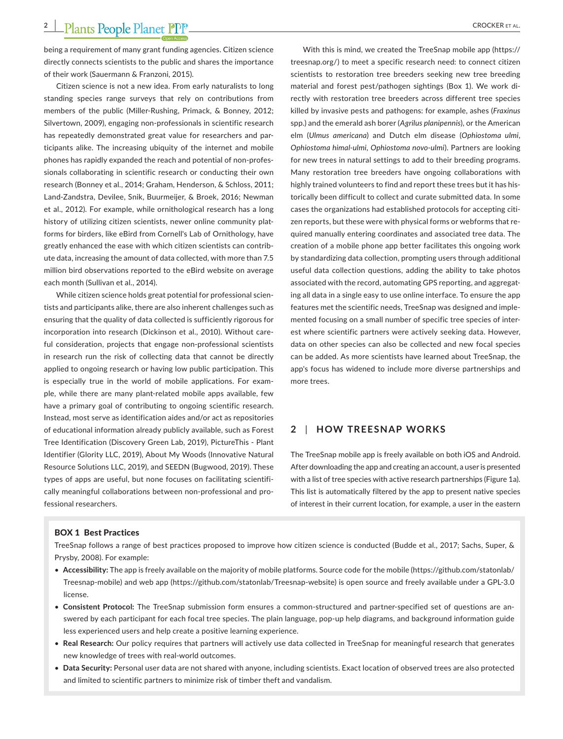being a requirement of many grant funding agencies. Citizen science directly connects scientists to the public and shares the importance of their work (Sauermann & Franzoni, 2015).

Citizen science is not a new idea. From early naturalists to long standing species range surveys that rely on contributions from members of the public (Miller‐Rushing, Primack, & Bonney, 2012; Silvertown, 2009), engaging non‐professionals in scientific research has repeatedly demonstrated great value for researchers and participants alike. The increasing ubiquity of the internet and mobile phones has rapidly expanded the reach and potential of non‐profes‐ sionals collaborating in scientific research or conducting their own research (Bonney et al., 2014; Graham, Henderson, & Schloss, 2011; Land‐Zandstra, Devilee, Snik, Buurmeijer, & Broek, 2016; Newman et al., 2012). For example, while ornithological research has a long history of utilizing citizen scientists, newer online community platforms for birders, like eBird from Cornell's Lab of Ornithology, have greatly enhanced the ease with which citizen scientists can contrib‐ ute data, increasing the amount of data collected, with more than 7.5 million bird observations reported to the eBird website on average each month (Sullivan et al., 2014).

While citizen science holds great potential for professional scientists and participants alike, there are also inherent challenges such as ensuring that the quality of data collected is sufficiently rigorous for incorporation into research (Dickinson et al., 2010). Without care‐ ful consideration, projects that engage non‐professional scientists in research run the risk of collecting data that cannot be directly applied to ongoing research or having low public participation. This is especially true in the world of mobile applications. For exam‐ ple, while there are many plant-related mobile apps available, few have a primary goal of contributing to ongoing scientific research. Instead, most serve as identification aides and/or act as repositories of educational information already publicly available, such as Forest Tree Identification (Discovery Green Lab, 2019), PictureThis ‐ Plant Identifier (Glority LLC, 2019), About My Woods (Innovative Natural Resource Solutions LLC, 2019), and SEEDN (Bugwood, 2019). These types of apps are useful, but none focuses on facilitating scientifi‐ cally meaningful collaborations between non‐professional and pro‐ fessional researchers.

With this is mind, we created the TreeSnap mobile app [\(https://](https://treesnap.org/) [treesnap.org/\)](https://treesnap.org/) to meet a specific research need: to connect citizen scientists to restoration tree breeders seeking new tree breeding material and forest pest/pathogen sightings (Box 1). We work di‐ rectly with restoration tree breeders across different tree species killed by invasive pests and pathogens: for example, ashes (*Fraxinus* spp.) and the emerald ash borer (*Agrilus planipennis*), or the American elm (*Ulmus americana*) and Dutch elm disease (*Ophiostoma ulmi*, *Ophiostoma himal‐ulmi*, *Ophiostoma novo‐ulmi*). Partners are looking for new trees in natural settings to add to their breeding programs. Many restoration tree breeders have ongoing collaborations with highly trained volunteers to find and report these trees but it has historically been difficult to collect and curate submitted data. In some cases the organizations had established protocols for accepting citi‐ zen reports, but these were with physical forms or webforms that re‐ quired manually entering coordinates and associated tree data. The creation of a mobile phone app better facilitates this ongoing work by standardizing data collection, prompting users through additional useful data collection questions, adding the ability to take photos associated with the record, automating GPS reporting, and aggregat‐ ing all data in a single easy to use online interface. To ensure the app features met the scientific needs, TreeSnap was designed and imple‐ mented focusing on a small number of specific tree species of inter‐ est where scientific partners were actively seeking data. However, data on other species can also be collected and new focal species can be added. As more scientists have learned about TreeSnap, the app's focus has widened to include more diverse partnerships and more trees.

## **2** | **HOW TREESNAP WORKS**

The TreeSnap mobile app is freely available on both iOS and Android. After downloading the app and creating an account, a user is presented with a list of tree species with active research partnerships (Figure 1a). This list is automatically filtered by the app to present native species of interest in their current location, for example, a user in the eastern

#### BOX 1 Best Practices

TreeSnap follows a range of best practices proposed to improve how citizen science is conducted (Budde et al., 2017; Sachs, Super, & Prysby, 2008). For example:

- **Accessibility:** The app is freely available on the majority of mobile platforms. Source code for the mobile ([https://github.com/statonlab/](https://github.com/statonlab/Treesnap-mobile) [Treesnap-mobile](https://github.com/statonlab/Treesnap-mobile)) and web app ([https://github.com/statonlab/Treesnap-website\)](https://github.com/statonlab/Treesnap-website) is open source and freely available under a GPL‐3.0 license.
- **Consistent Protocol:** The TreeSnap submission form ensures a common‐structured and partner‐specified set of questions are an‐ swered by each participant for each focal tree species. The plain language, pop‐up help diagrams, and background information guide less experienced users and help create a positive learning experience.
- **Real Research:** Our policy requires that partners will actively use data collected in TreeSnap for meaningful research that generates new knowledge of trees with real‐world outcomes.
- **Data Security:** Personal user data are not shared with anyone, including scientists. Exact location of observed trees are also protected and limited to scientific partners to minimize risk of timber theft and vandalism.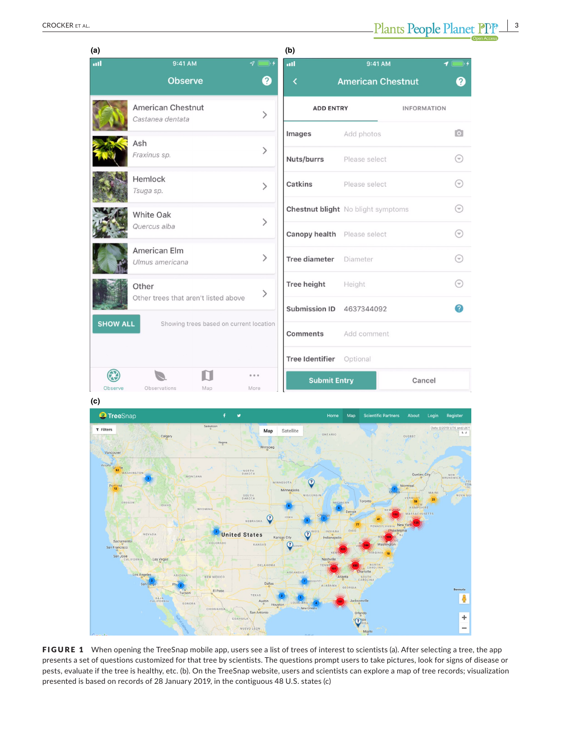| (a)                                                        |                                               |                              | (b)                                |                                           |                    |                                   |
|------------------------------------------------------------|-----------------------------------------------|------------------------------|------------------------------------|-------------------------------------------|--------------------|-----------------------------------|
| all                                                        | 9:41 AM                                       | $9 \Box$                     | ail                                | 9:41 AM                                   |                    | $\blacksquare$                    |
|                                                            | <b>Observe</b>                                | ❷                            | ≺                                  | <b>American Chestnut</b>                  |                    | 0                                 |
|                                                            | American Chestnut<br>Castanea dentata         | $\left\langle \right\rangle$ | <b>ADD ENTRY</b>                   |                                           | <b>INFORMATION</b> |                                   |
|                                                            | Ash                                           |                              | Images                             | Add photos                                |                    | $\overline{\bullet}$              |
|                                                            | Fraxinus sp.                                  | $\left. \right\rangle$       | Nuts/burrs                         | Please select                             |                    | $(\!\widehat{\ }\!\!\cdot\!)$     |
|                                                            | Hemlock<br>Tsuga sp.                          | $\mathcal{P}$                | Catkins                            | Please select                             |                    | ⊙                                 |
|                                                            | White Oak                                     | $\mathcal{P}$                |                                    | <b>Chestnut blight</b> No blight symptoms |                    | ⊖                                 |
|                                                            | Quercus alba                                  |                              | <b>Canopy health</b> Please select |                                           |                    | ⊖                                 |
|                                                            | American Elm<br>Ulmus americana               | $\left. \right\rangle$       | Tree diameter Diameter             |                                           |                    | $(\widehat{\mathord{\text{--}}})$ |
|                                                            | Other<br>Other trees that aren't listed above | $\,>\,$                      | <b>Tree height</b>                 | Height                                    |                    | $(\mathbb{V})$                    |
|                                                            |                                               |                              | Submission ID 4637344092           |                                           |                    | 2                                 |
| <b>SHOW ALL</b><br>Showing trees based on current location |                                               |                              | Comments                           | Add comment                               |                    |                                   |
|                                                            |                                               |                              | Tree Identifier Optional           |                                           |                    |                                   |
|                                                            |                                               | 0 0 0                        | <b>Submit Entry</b>                |                                           | Cancel             |                                   |
| Observe                                                    | Observations<br>Map                           | More                         |                                    |                                           |                    |                                   |

**(c)**



FIGURE 1 When opening the TreeSnap mobile app, users see a list of trees of interest to scientists (a). After selecting a tree, the app presents a set of questions customized for that tree by scientists. The questions prompt users to take pictures, look for signs of disease or pests, evaluate if the tree is healthy, etc. (b). On the TreeSnap website, users and scientists can explore a map of tree records; visualization presented is based on records of 28 January 2019, in the contiguous 48 U.S. states (c)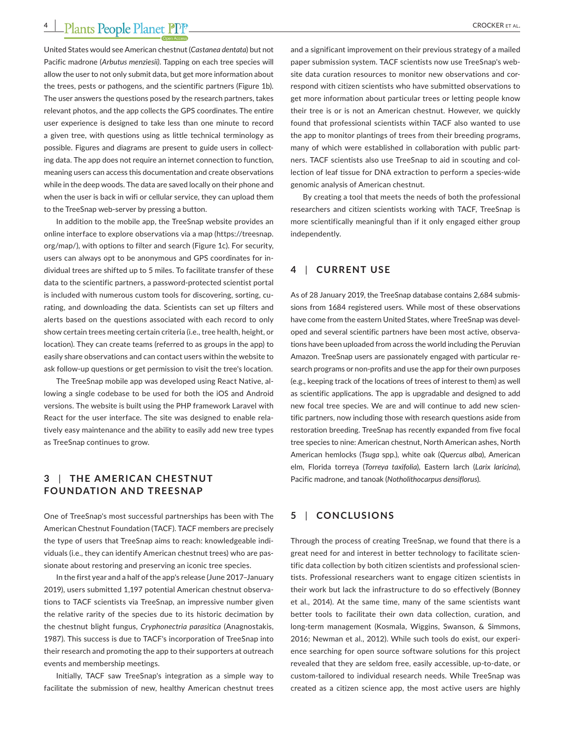United States would see American chestnut (*Castanea dentata*) but not Pacific madrone (*Arbutus menziesii)*. Tapping on each tree species will allow the user to not only submit data, but get more information about the trees, pests or pathogens, and the scientific partners (Figure 1b). The user answers the questions posed by the research partners, takes relevant photos, and the app collects the GPS coordinates. The entire user experience is designed to take less than one minute to record a given tree, with questions using as little technical terminology as possible. Figures and diagrams are present to guide users in collecting data. The app does not require an internet connection to function, meaning users can access this documentation and create observations while in the deep woods. The data are saved locally on their phone and when the user is back in wifi or cellular service, they can upload them to the TreeSnap web‐server by pressing a button.

In addition to the mobile app, the TreeSnap website provides an online interface to explore observations via a map [\(https://treesnap.](https://treesnap.org/map/) [org/map/\)](https://treesnap.org/map/), with options to filter and search (Figure 1c). For security, users can always opt to be anonymous and GPS coordinates for in‐ dividual trees are shifted up to 5 miles. To facilitate transfer of these data to the scientific partners, a password‐protected scientist portal is included with numerous custom tools for discovering, sorting, curating, and downloading the data. Scientists can set up filters and alerts based on the questions associated with each record to only show certain trees meeting certain criteria (i.e., tree health, height, or location). They can create teams (referred to as groups in the app) to easily share observations and can contact users within the website to ask follow‐up questions or get permission to visit the tree's location.

The TreeSnap mobile app was developed using React Native, al‐ lowing a single codebase to be used for both the iOS and Android versions. The website is built using the PHP framework Laravel with React for the user interface. The site was designed to enable rela‐ tively easy maintenance and the ability to easily add new tree types as TreeSnap continues to grow.

## **3** | **THE AMERIC AN CHESTNUT FOUNDATION AND TREESNAP**

One of TreeSnap's most successful partnerships has been with The American Chestnut Foundation (TACF). TACF members are precisely the type of users that TreeSnap aims to reach: knowledgeable indi‐ viduals (i.e., they can identify American chestnut trees) who are pas‐ sionate about restoring and preserving an iconic tree species.

In the first year and a half of the app's release (June 2017–January 2019), users submitted 1,197 potential American chestnut observa‐ tions to TACF scientists via TreeSnap, an impressive number given the relative rarity of the species due to its historic decimation by the chestnut blight fungus, *Cryphonectria parasitica* (Anagnostakis, 1987). This success is due to TACF's incorporation of TreeSnap into their research and promoting the app to their supporters at outreach events and membership meetings.

Initially, TACF saw TreeSnap's integration as a simple way to facilitate the submission of new, healthy American chestnut trees

and a significant improvement on their previous strategy of a mailed paper submission system. TACF scientists now use TreeSnap's web‐ site data curation resources to monitor new observations and correspond with citizen scientists who have submitted observations to get more information about particular trees or letting people know their tree is or is not an American chestnut. However, we quickly found that professional scientists within TACF also wanted to use the app to monitor plantings of trees from their breeding programs, many of which were established in collaboration with public part‐ ners. TACF scientists also use TreeSnap to aid in scouting and col‐ lection of leaf tissue for DNA extraction to perform a species‐wide genomic analysis of American chestnut.

By creating a tool that meets the needs of both the professional researchers and citizen scientists working with TACF, TreeSnap is more scientifically meaningful than if it only engaged either group independently.

## **4** | **CURRENT USE**

As of 28 January 2019, the TreeSnap database contains 2,684 submis‐ sions from 1684 registered users. While most of these observations have come from the eastern United States, where TreeSnap was devel‐ oped and several scientific partners have been most active, observa‐ tions have been uploaded from across the world including the Peruvian Amazon. TreeSnap users are passionately engaged with particular re‐ search programs or non‐profits and use the app for their own purposes (e.g., keeping track of the locations of trees of interest to them) as well as scientific applications. The app is upgradable and designed to add new focal tree species. We are and will continue to add new scientific partners, now including those with research questions aside from restoration breeding. TreeSnap has recently expanded from five focal tree species to nine: American chestnut, North American ashes, North American hemlocks (*Tsuga* spp.), white oak (*Quercus alba*), American elm, Florida torreya (*Torreya taxifolia*), Eastern larch (*Larix laricina*), Pacific madrone, and tanoak (*Notholithocarpus densiflorus*).

## **5** | **CONCLUSIONS**

Through the process of creating TreeSnap, we found that there is a great need for and interest in better technology to facilitate scien‐ tific data collection by both citizen scientists and professional scien‐ tists. Professional researchers want to engage citizen scientists in their work but lack the infrastructure to do so effectively (Bonney et al., 2014). At the same time, many of the same scientists want better tools to facilitate their own data collection, curation, and long‐term management (Kosmala, Wiggins, Swanson, & Simmons, 2016; Newman et al., 2012). While such tools do exist, our experi‐ ence searching for open source software solutions for this project revealed that they are seldom free, easily accessible, up‐to‐date, or custom‐tailored to individual research needs. While TreeSnap was created as a citizen science app, the most active users are highly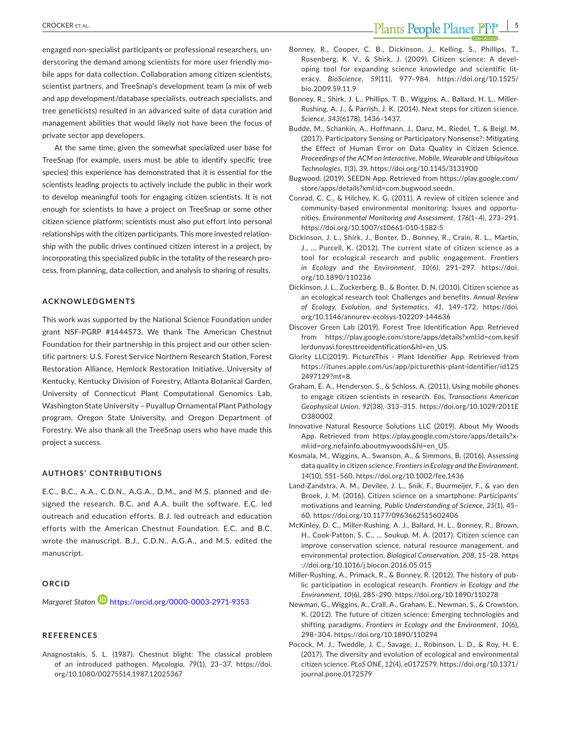engaged non‐specialist participants or professional researchers, un‐ derscoring the demand among scientists for more user friendly mo‐ bile apps for data collection. Collaboration among citizen scientists, scientist partners, and TreeSnap's development team (a mix of web and app development/database specialists, outreach specialists, and tree geneticists) resulted in an advanced suite of data curation and management abilities that would likely not have been the focus of private sector app developers.

At the same time, given the somewhat specialized user base for TreeSnap (for example, users must be able to identify specific tree species) this experience has demonstrated that it is essential for the scientists leading projects to actively include the public in their work to develop meaningful tools for engaging citizen scientists. It is not enough for scientists to have a project on TreeSnap or some other citizen science platform; scientists must also put effort into personal relationships with the citizen participants. This more invested relation‐ ship with the public drives continued citizen interest in a project, by incorporating this specialized public in the totality of the research pro‐ cess, from planning, data collection, and analysis to sharing of results.

#### **ACKNOWLEDGMENTS**

This work was supported by the National Science Foundation under grant NSF‐PGRP #1444573. We thank The American Chestnut Foundation for their partnership in this project and our other scien‐ tific partners: U.S. Forest Service Northern Research Station, Forest Restoration Alliance, Hemlock Restoration Initiative, University of Kentucky, Kentucky Division of Forestry, Atlanta Botanical Garden, University of Connecticut Plant Computational Genomics Lab, Washington State University – Puyallup Ornamental Plant Pathology program, Oregon State University, and Oregon Department of Forestry. We also thank all the TreeSnap users who have made this project a success.

#### **AUTHORS' CONTRIBUTIONS**

E.C., B.C., A.A., C.D.N., A.G.A., D.M., and M.S. planned and de‐ signed the research. B.C. and A.A. built the software. E.C. led outreach and education efforts. B.J. led outreach and education efforts with the American Chestnut Foundation. E.C. and B.C. wrote the manuscript. B.J., C.D.N., A.G.A., and M.S. edited the manuscript.

### **ORCID**

*Margaret Staton* **b** <https://orcid.org/0000-0003-2971-9353>

## **REFERENCES**

Anagnostakis, S. L. (1987). Chestnut blight: The classical problem of an introduced pathogen. *Mycologia*, *79*(1), 23–37. [https://doi.](https://doi.org/10.1080/00275514.1987.12025367) [org/10.1080/00275514.1987.12025367](https://doi.org/10.1080/00275514.1987.12025367)

- Bonney, R., Cooper, C. B., Dickinson, J., Kelling, S., Phillips, T., Rosenberg, K. V., & Shirk, J. (2009). Citizen science: A devel‐ oping tool for expanding science knowledge and scientific lit‐ eracy. *BioScience*, *59*(11), 977–984. [https://doi.org/10.1525/](https://doi.org/10.1525/bio.2009.59.11.9) [bio.2009.59.11.9](https://doi.org/10.1525/bio.2009.59.11.9)
- Bonney, R., Shirk, J. L., Phillips, T. B., Wiggins, A., Ballard, H. L., Miller‐ Rushing, A. J., & Parrish, J. K. (2014). Next steps for citizen science. *Science*, *343*(6178), 1436–1437.
- Budde, M., Schankin, A., Hoffmann, J., Danz, M., Riedel, T., & Beigl, M. (2017). Participatory Sensing or Participatory Nonsense?: Mitigating the Effect of Human Error on Data Quality in Citizen Science. *Proceedings of the ACM on Interactive, Mobile, Wearable and Ubiquitous Technologies*, *1*(3), 39. <https://doi.org/10.1145/3131900>
- Bugwood. (2019). SEEDN App. Retrieved from [https://play.google.com/](https://play.google.com/store/apps/details?xml:id=com.bugwood.seedn) [store/apps/details?xml:id=com.bugwood.seedn.](https://play.google.com/store/apps/details?xml:id=com.bugwood.seedn)
- Conrad, C. C., & Hilchey, K. G. (2011). A review of citizen science and community‐based environmental monitoring: Issues and opportu‐ nities. *Environmental Monitoring and Assessment*, *176*(1–4), 273–291. <https://doi.org/10.1007/s10661-010-1582-5>
- Dickinson, J. L., Shirk, J., Bonter, D., Bonney, R., Crain, R. L., Martin, J., … Purcell, K. (2012). The current state of citizen science as a tool for ecological research and public engagement. *Frontiers in Ecology and the Environment*, *10*(6), 291–297. [https://doi.](https://doi.org/10.1890/110236) [org/10.1890/110236](https://doi.org/10.1890/110236)
- Dickinson, J. L., Zuckerberg, B., & Bonter, D. N. (2010). Citizen science as an ecological research tool: Challenges and benefits. *Annual Review of Ecology, Evolution, and Systematics*, *41*, 149–172. [https://doi.](https://doi.org/10.1146/annurev-ecolsys-102209-144636) [org/10.1146/annurev-ecolsys-102209-144636](https://doi.org/10.1146/annurev-ecolsys-102209-144636)
- Discover Green Lab (2019). Forest Tree Identification App. Retrieved from [https://play.google.com/store/apps/details?xml:id=com.kesif](https://play.google.com/store/apps/details?xml:id=com.kesiflerdunyasi.foresttreeidentification&hl=en_US) [lerdunyasi.foresttreeidentification&hl=en\\_US.](https://play.google.com/store/apps/details?xml:id=com.kesiflerdunyasi.foresttreeidentification&hl=en_US)
- Glority LLC(2019). PictureThis ‐ Plant Identifier App. Retrieved from [https://itunes.apple.com/us/app/picturethis-plant-identifier/id125](https://itunes.apple.com/us/app/picturethis-plant-identifier/id1252497129?mt=8) [2497129?mt=8.](https://itunes.apple.com/us/app/picturethis-plant-identifier/id1252497129?mt=8)
- Graham, E. A., Henderson, S., & Schloss, A. (2011). Using mobile phones to engage citizen scientists in research. *Eos, Transactions American Geophysical Union*, *92*(38), 313–315. [https://doi.org/10.1029/2011E](https://doi.org/10.1029/2011EO380002) [O380002](https://doi.org/10.1029/2011EO380002)
- Innovative Natural Resource Solutions LLC (2019). About My Woods App. Retrieved from [https://play.google.com/store/apps/details?x](https://play.google.com/store/apps/details?xml:id=org.nefainfo.aboutmywoods&hl=en_US)‐ [ml:id=org.nefainfo.aboutmywoods&hl=en\\_US.](https://play.google.com/store/apps/details?xml:id=org.nefainfo.aboutmywoods&hl=en_US)
- Kosmala, M., Wiggins, A., Swanson, A., & Simmons, B. (2016). Assessing data quality in citizen science. *Frontiers in Ecology and the Environment*, *14*(10), 551–560. <https://doi.org/10.1002/fee.1436>
- Land‐Zandstra, A. M., Devilee, J. L., Snik, F., Buurmeijer, F., & van den Broek, J. M. (2016). Citizen science on a smartphone: Participants' motivations and learning. *Public Understanding of Science*, *25*(1), 45– 60. <https://doi.org/10.1177/0963662515602406>
- McKinley, D. C., Miller‐Rushing, A. J., Ballard, H. L., Bonney, R., Brown, H., Cook‐Patton, S. C., … Soukup, M. A. (2017). Citizen science can improve conservation science, natural resource management, and environmental protection. *Biological Conservation*, *208*, 15–28. [https](https://doi.org/10.1016/j.biocon.2016.05.015) [://doi.org/10.1016/j.biocon.2016.05.015](https://doi.org/10.1016/j.biocon.2016.05.015)
- Miller‐Rushing, A., Primack, R., & Bonney, R. (2012). The history of pub‐ lic participation in ecological research. *Frontiers in Ecology and the Environment*, *10*(6), 285–290. <https://doi.org/10.1890/110278>
- Newman, G., Wiggins, A., Crall, A., Graham, E., Newman, S., & Crowston, K. (2012). The future of citizen science: Emerging technologies and shifting paradigms. *Frontiers in Ecology and the Environment*, *10*(6), 298–304. <https://doi.org/10.1890/110294>
- Pocock, M. J., Tweddle, J. C., Savage, J., Robinson, L. D., & Roy, H. E. (2017). The diversity and evolution of ecological and environmental citizen science. *PLoS ONE*, *12*(4), e0172579. [https://doi.org/10.1371/](https://doi.org/10.1371/journal.pone.0172579) [journal.pone.0172579](https://doi.org/10.1371/journal.pone.0172579)